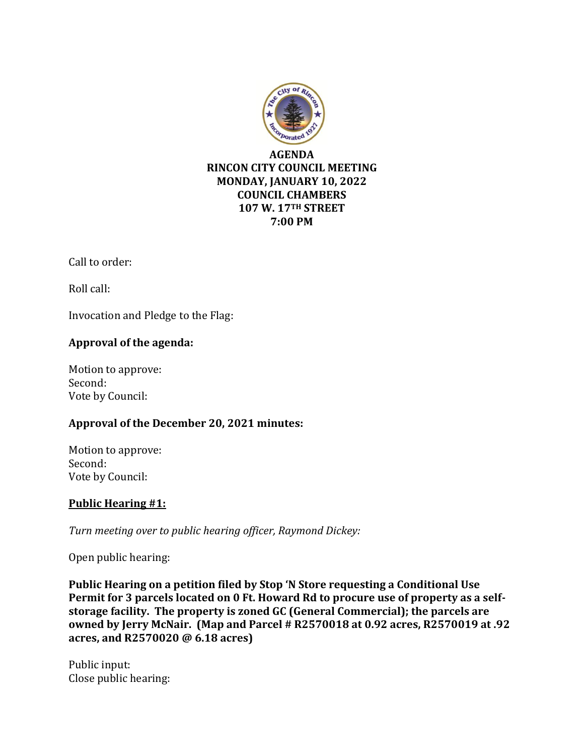

Call to order:

Roll call:

Invocation and Pledge to the Flag:

## **Approval of the agenda:**

Motion to approve: Second: Vote by Council:

### **Approval of the December 20, 2021 minutes:**

Motion to approve: Second: Vote by Council:

# **Public Hearing #1:**

*Turn meeting over to public hearing officer, Raymond Dickey:*

Open public hearing:

**Public Hearing on a petition filed by Stop 'N Store requesting a Conditional Use Permit for 3 parcels located on 0 Ft. Howard Rd to procure use of property as a selfstorage facility. The property is zoned GC (General Commercial); the parcels are owned by Jerry McNair. (Map and Parcel # R2570018 at 0.92 acres, R2570019 at .92 acres, and R2570020 @ 6.18 acres)**

Public input: Close public hearing: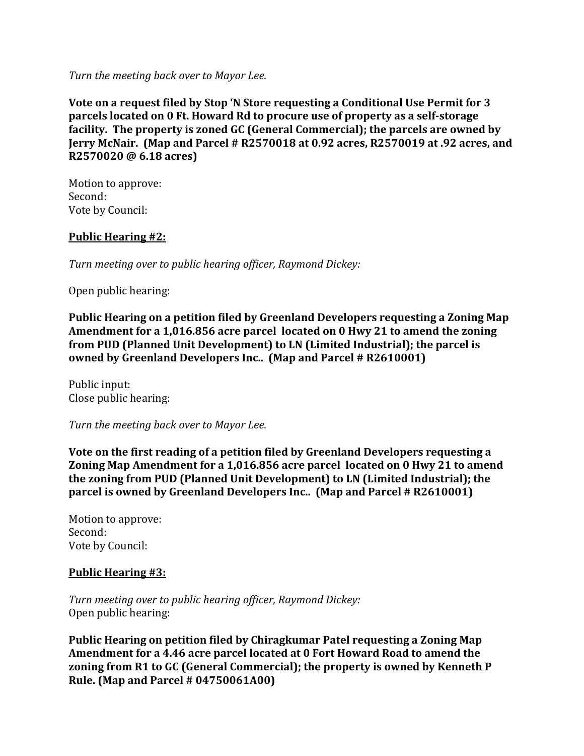*Turn the meeting back over to Mayor Lee.*

**Vote on a request filed by Stop 'N Store requesting a Conditional Use Permit for 3 parcels located on 0 Ft. Howard Rd to procure use of property as a self-storage facility. The property is zoned GC (General Commercial); the parcels are owned by Jerry McNair. (Map and Parcel # R2570018 at 0.92 acres, R2570019 at .92 acres, and R2570020 @ 6.18 acres)**

Motion to approve: Second: Vote by Council:

### **Public Hearing #2:**

*Turn meeting over to public hearing officer, Raymond Dickey:*

Open public hearing:

**Public Hearing on a petition filed by Greenland Developers requesting a Zoning Map Amendment for a 1,016.856 acre parcel located on 0 Hwy 21 to amend the zoning from PUD (Planned Unit Development) to LN (Limited Industrial); the parcel is owned by Greenland Developers Inc.. (Map and Parcel # R2610001)**

Public input: Close public hearing:

*Turn the meeting back over to Mayor Lee.*

**Vote on the first reading of a petition filed by Greenland Developers requesting a Zoning Map Amendment for a 1,016.856 acre parcel located on 0 Hwy 21 to amend the zoning from PUD (Planned Unit Development) to LN (Limited Industrial); the parcel is owned by Greenland Developers Inc.. (Map and Parcel # R2610001)**

Motion to approve: Second: Vote by Council:

#### **Public Hearing #3:**

*Turn meeting over to public hearing officer, Raymond Dickey:* Open public hearing:

**Public Hearing on petition filed by Chiragkumar Patel requesting a Zoning Map Amendment for a 4.46 acre parcel located at 0 Fort Howard Road to amend the zoning from R1 to GC (General Commercial); the property is owned by Kenneth P Rule. (Map and Parcel # 04750061A00)**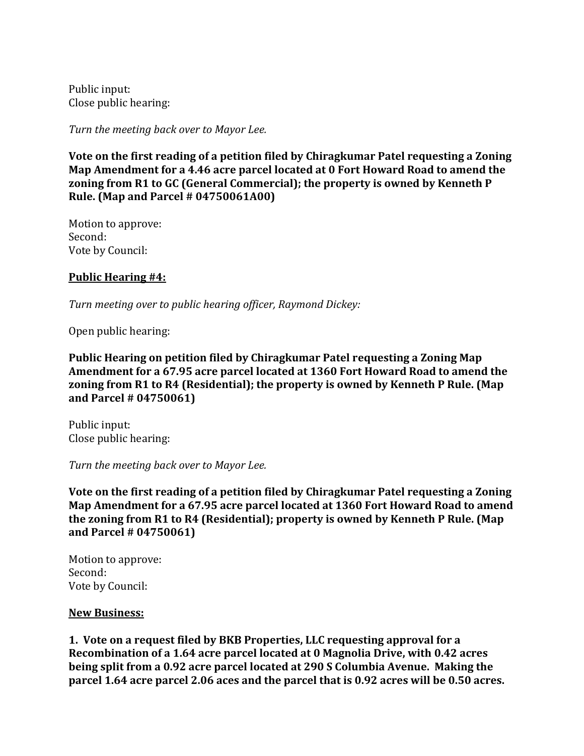Public input: Close public hearing:

*Turn the meeting back over to Mayor Lee.*

**Vote on the first reading of a petition filed by Chiragkumar Patel requesting a Zoning Map Amendment for a 4.46 acre parcel located at 0 Fort Howard Road to amend the zoning from R1 to GC (General Commercial); the property is owned by Kenneth P Rule. (Map and Parcel # 04750061A00)**

Motion to approve: Second: Vote by Council:

#### **Public Hearing #4:**

*Turn meeting over to public hearing officer, Raymond Dickey:*

Open public hearing:

**Public Hearing on petition filed by Chiragkumar Patel requesting a Zoning Map Amendment for a 67.95 acre parcel located at 1360 Fort Howard Road to amend the zoning from R1 to R4 (Residential); the property is owned by Kenneth P Rule. (Map and Parcel # 04750061)**

Public input: Close public hearing:

*Turn the meeting back over to Mayor Lee.*

**Vote on the first reading of a petition filed by Chiragkumar Patel requesting a Zoning Map Amendment for a 67.95 acre parcel located at 1360 Fort Howard Road to amend the zoning from R1 to R4 (Residential); property is owned by Kenneth P Rule. (Map and Parcel # 04750061)**

Motion to approve: Second: Vote by Council:

#### **New Business:**

**1. Vote on a request filed by BKB Properties, LLC requesting approval for a Recombination of a 1.64 acre parcel located at 0 Magnolia Drive, with 0.42 acres being split from a 0.92 acre parcel located at 290 S Columbia Avenue. Making the parcel 1.64 acre parcel 2.06 aces and the parcel that is 0.92 acres will be 0.50 acres.**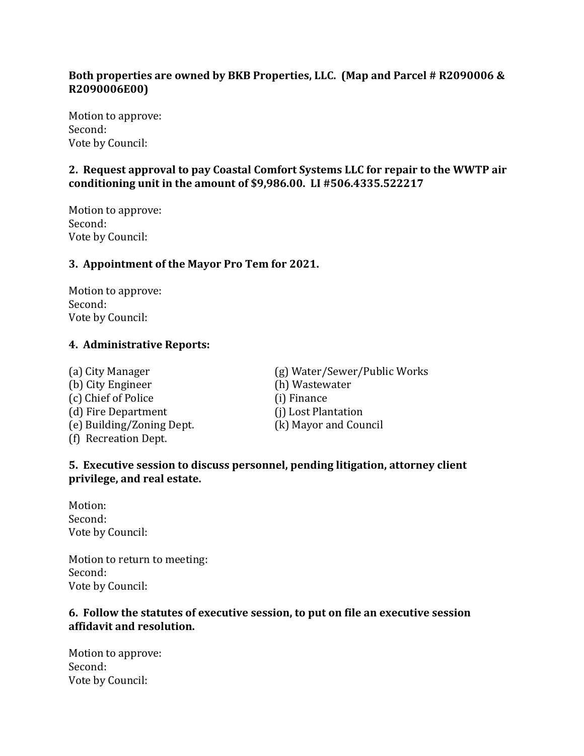## **Both properties are owned by BKB Properties, LLC. (Map and Parcel # R2090006 & R2090006E00)**

Motion to approve: Second: Vote by Council:

## **2. Request approval to pay Coastal Comfort Systems LLC for repair to the WWTP air conditioning unit in the amount of \$9,986.00. LI #506.4335.522217**

Motion to approve: Second: Vote by Council:

#### **3. Appointment of the Mayor Pro Tem for 2021.**

Motion to approve: Second: Vote by Council:

#### **4. Administrative Reports:**

(b) City Engineer (h) Wastewater (c) Chief of Police (i) Finance (d) Fire Department (j) Lost Plantation (e) Building/Zoning Dept. (k) Mayor and Council (f) Recreation Dept.

(a) City Manager (g) Water/Sewer/Public Works

### **5. Executive session to discuss personnel, pending litigation, attorney client privilege, and real estate.**

Motion: Second: Vote by Council:

Motion to return to meeting: Second: Vote by Council:

#### **6. Follow the statutes of executive session, to put on file an executive session affidavit and resolution.**

Motion to approve: Second: Vote by Council: